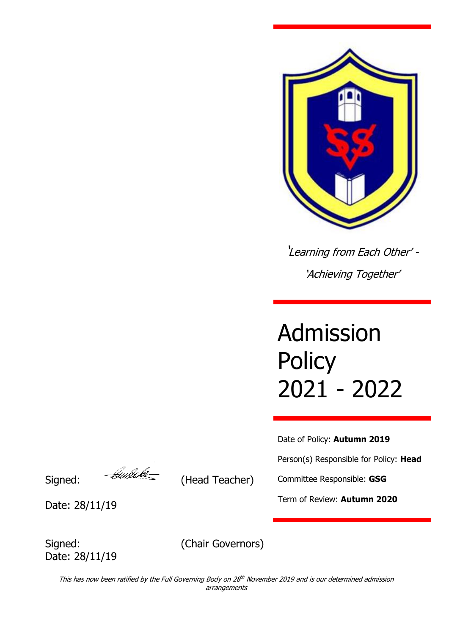

'Learning from Each Other' - 'Achieving Together'

# Admission **Policy** 2021 - 2022

Date of Policy: **Autumn 2019**

Person(s) Responsible for Policy: **Head** 

Committee Responsible: **GSG**

Term of Review: **Autumn 2020**

Signed: <del>ludak (</del>Head Teacher)

Date: 28/11/19

Date: 28/11/19

Signed: (Chair Governors)

This has now been ratified by the Full Governing Body on 28<sup>th</sup> November 2019 and is our determined admission arrangements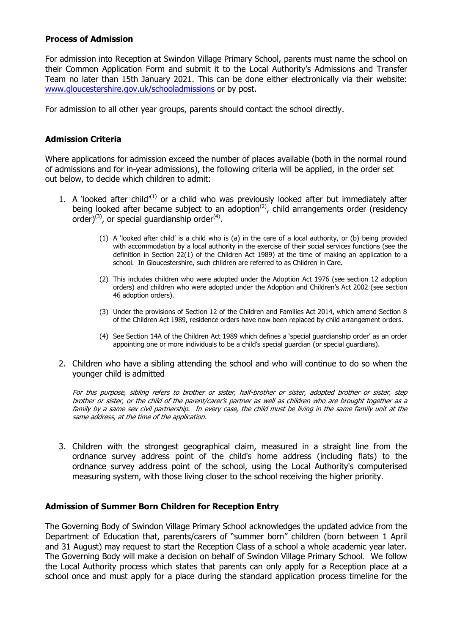#### **Process of Admission**

For admission into Reception at Swindon Village Primary School, parents must name the school on their Common Application Form and submit it to the Local Authority's Admissions and Transfer Team no later than 15th January 2021. This can be done either electronically via their website: [www.gloucestershire.gov.uk/schooladmissions](http://www.gloucestershire.gov.uk/schooladmissions) or by post.

For admission to all other year groups, parents should contact the school directly.

#### **Admission Criteria**

Where applications for admission exceed the number of places available (both in the normal round of admissions and for in-year admissions), the following criteria will be applied, in the order set out below, to decide which children to admit:

- 1. A 'looked after child'<sup>(1)</sup> or a child who was previously looked after but immediately after being looked after became subject to an adoption<sup>(2)</sup>, child arrangements order (residency order)<sup>(3)</sup>, or special guardianship order<sup>(4)</sup>.
	- (1) A 'looked after child' is a child who is (a) in the care of a local authority, or (b) being provided with accommodation by a local authority in the exercise of their social services functions (see the definition in Section 22(1) of the Children Act 1989) at the time of making an application to a school. In Gloucestershire, such children are referred to as Children in Care.
	- (2) This includes children who were adopted under the Adoption Act 1976 (see section 12 adoption orders) and children who were adopted under the Adoption and Children's Act 2002 (see section 46 adoption orders).
	- (3) Under the provisions of Section 12 of the Children and Families Act 2014, which amend Section 8 of the Children Act 1989, residence orders have now been replaced by child arrangement orders.
	- (4) See Section 14A of the Children Act 1989 which defines a 'special guardianship order' as an order appointing one or more individuals to be a child's special guardian (or special guardians).
- 2. Children who have a sibling attending the school and who will continue to do so when the younger child is admitted

For this purpose, sibling refers to brother or sister, half-brother or sister, adopted brother or sister, step brother or sister, or the child of the parent/carer's partner as well as children who are brought together as a family by a same sex civil partnership. In every case, the child must be living in the same family unit at the same address, at the time of the application.

3. Children with the strongest geographical claim, measured in a straight line from the ordnance survey address point of the child's home address (including flats) to the ordnance survey address point of the school, using the Local Authority's computerised measuring system, with those living closer to the school receiving the higher priority.

#### **Admission of Summer Born Children for Reception Entry**

The Governing Body of Swindon Village Primary School acknowledges the updated advice from the Department of Education that, parents/carers of "summer born" children (born between 1 April and 31 August) may request to start the Reception Class of a school a whole academic year later. The Governing Body will make a decision on behalf of Swindon Village Primary School. We follow the Local Authority process which states that parents can only apply for a Reception place at a school once and must apply for a place during the standard application process timeline for the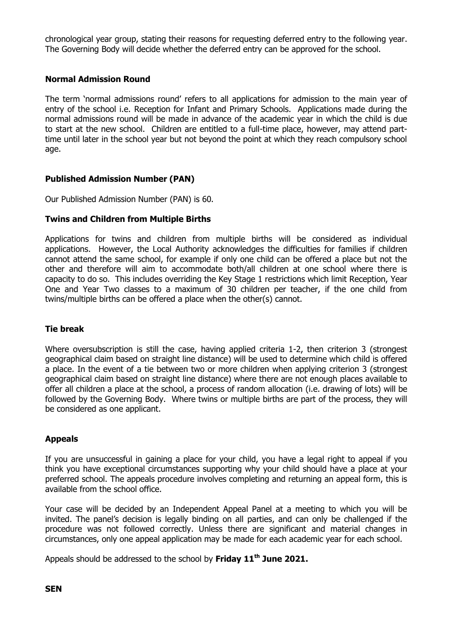chronological year group, stating their reasons for requesting deferred entry to the following year. The Governing Body will decide whether the deferred entry can be approved for the school.

#### **Normal Admission Round**

The term 'normal admissions round' refers to all applications for admission to the main year of entry of the school i.e. Reception for Infant and Primary Schools. Applications made during the normal admissions round will be made in advance of the academic year in which the child is due to start at the new school. Children are entitled to a full-time place, however, may attend parttime until later in the school year but not beyond the point at which they reach compulsory school age.

## **Published Admission Number (PAN)**

Our Published Admission Number (PAN) is 60.

#### **Twins and Children from Multiple Births**

Applications for twins and children from multiple births will be considered as individual applications. However, the Local Authority acknowledges the difficulties for families if children cannot attend the same school, for example if only one child can be offered a place but not the other and therefore will aim to accommodate both/all children at one school where there is capacity to do so. This includes overriding the Key Stage 1 restrictions which limit Reception, Year One and Year Two classes to a maximum of 30 children per teacher, if the one child from twins/multiple births can be offered a place when the other(s) cannot.

#### **Tie break**

Where oversubscription is still the case, having applied criteria 1-2, then criterion 3 (strongest geographical claim based on straight line distance) will be used to determine which child is offered a place. In the event of a tie between two or more children when applying criterion 3 (strongest geographical claim based on straight line distance) where there are not enough places available to offer all children a place at the school, a process of random allocation (i.e. drawing of lots) will be followed by the Governing Body. Where twins or multiple births are part of the process, they will be considered as one applicant.

#### **Appeals**

If you are unsuccessful in gaining a place for your child, you have a legal right to appeal if you think you have exceptional circumstances supporting why your child should have a place at your preferred school. The appeals procedure involves completing and returning an appeal form, this is available from the school office.

Your case will be decided by an Independent Appeal Panel at a meeting to which you will be invited. The panel's decision is legally binding on all parties, and can only be challenged if the procedure was not followed correctly. Unless there are significant and material changes in circumstances, only one appeal application may be made for each academic year for each school.

Appeals should be addressed to the school by **Friday 11 th June 2021.**